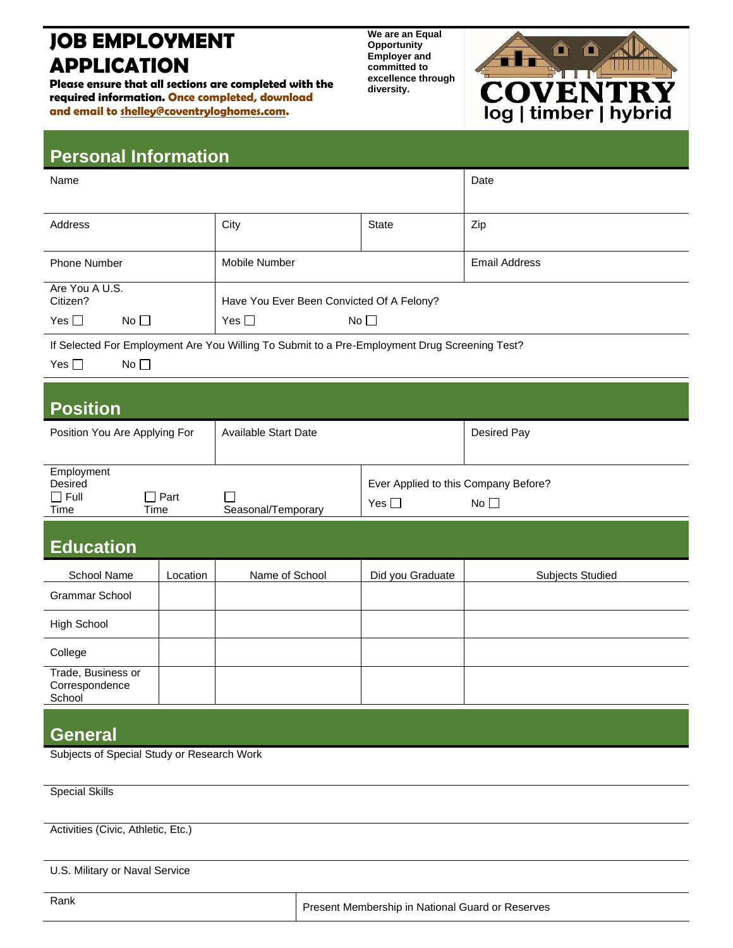## **JOB EMPLOYMENT APPLICATION**

**Please ensure that all sections are completed with the required information. Once completed, download and email to shelley@coventryloghomes.com.**

**We are an Equal Opportunity Employer and committed to excellence through diversity.**



### **Personal Information**

| Name                                                                                                                 |             | Date                                      |                                                                    |                         |  |  |  |
|----------------------------------------------------------------------------------------------------------------------|-------------|-------------------------------------------|--------------------------------------------------------------------|-------------------------|--|--|--|
|                                                                                                                      |             |                                           |                                                                    |                         |  |  |  |
| Address                                                                                                              |             | City                                      | <b>State</b>                                                       | Zip                     |  |  |  |
| <b>Phone Number</b>                                                                                                  |             | Mobile Number                             |                                                                    | <b>Email Address</b>    |  |  |  |
| Are You A U.S.<br>Citizen?                                                                                           |             | Have You Ever Been Convicted Of A Felony? |                                                                    |                         |  |  |  |
| No<br>Yes $\square$                                                                                                  |             | Yes $\square$<br>No                       |                                                                    |                         |  |  |  |
| If Selected For Employment Are You Willing To Submit to a Pre-Employment Drug Screening Test?<br>Yes $\square$<br>No |             |                                           |                                                                    |                         |  |  |  |
| <b>Position</b>                                                                                                      |             |                                           |                                                                    |                         |  |  |  |
| Position You Are Applying For                                                                                        |             | Available Start Date                      |                                                                    | Desired Pay             |  |  |  |
| Employment<br>Desired<br>$\Box$ Full<br>Time<br>Time                                                                 | $\Box$ Part | Seasonal/Temporary                        | Ever Applied to this Company Before?<br>Yes $\Box$<br>No $\square$ |                         |  |  |  |
| <b>Education</b>                                                                                                     |             |                                           |                                                                    |                         |  |  |  |
| School Name                                                                                                          | Location    | Name of School                            | Did you Graduate                                                   | <b>Subjects Studied</b> |  |  |  |
| <b>Grammar School</b>                                                                                                |             |                                           |                                                                    |                         |  |  |  |
| <b>High School</b>                                                                                                   |             |                                           |                                                                    |                         |  |  |  |
| College                                                                                                              |             |                                           |                                                                    |                         |  |  |  |
| Trade, Business or<br>Correspondence<br>School                                                                       |             |                                           |                                                                    |                         |  |  |  |
| <b>General</b>                                                                                                       |             |                                           |                                                                    |                         |  |  |  |
| Subjects of Special Study or Research Work                                                                           |             |                                           |                                                                    |                         |  |  |  |

Activities (Civic, Athletic, Etc.)

Special Skills

U.S. Military or Naval Service